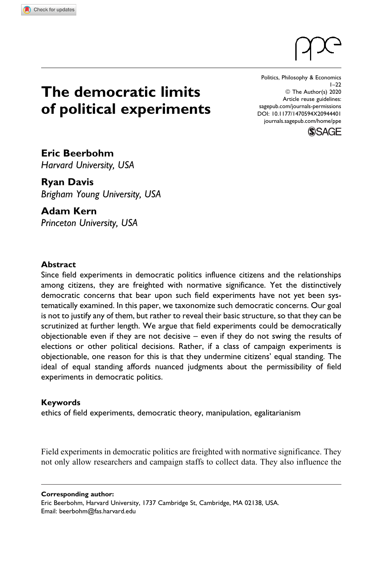

Politics, Philosophy & Economics  $1 - 22$ © The Author(s) 2020 Article reuse guidelines: [sagepub.com/journals-permissions](https://sagepub.com/journals-permissions) [DOI: 10.1177/1470594X20944401](https://doi.org/10.1177/1470594X20944401) [journals.sagepub.com/home/ppe](http://journals.sagepub.com/home/ppe)



# The democratic limits of political experiments

Eric Beerbohm Harvard University, USA

Ryan Davis Brigham Young University, USA

Adam Kern Princeton University, USA

## Abstract

Since field experiments in democratic politics influence citizens and the relationships among citizens, they are freighted with normative significance. Yet the distinctively democratic concerns that bear upon such field experiments have not yet been systematically examined. In this paper, we taxonomize such democratic concerns. Our goal is not to justify any of them, but rather to reveal their basic structure, so that they can be scrutinized at further length. We argue that field experiments could be democratically objectionable even if they are not decisive – even if they do not swing the results of elections or other political decisions. Rather, if a class of campaign experiments is objectionable, one reason for this is that they undermine citizens' equal standing. The ideal of equal standing affords nuanced judgments about the permissibility of field experiments in democratic politics.

#### Keywords

ethics of field experiments, democratic theory, manipulation, egalitarianism

Field experiments in democratic politics are freighted with normative significance. They not only allow researchers and campaign staffs to collect data. They also influence the

Corresponding author: Eric Beerbohm, Harvard University, 1737 Cambridge St, Cambridge, MA 02138, USA. Email: [beerbohm@fas.harvard.edu](mailto:beerbohm@fas.harvard.edu)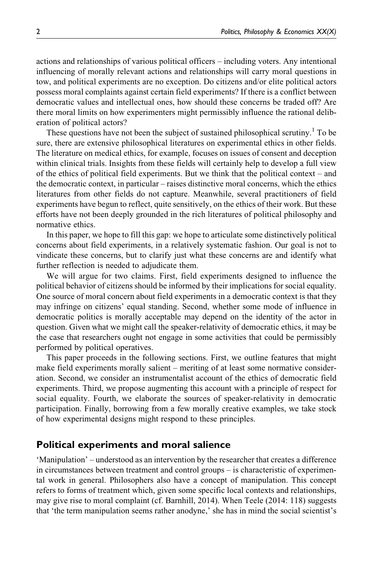actions and relationships of various political officers – including voters. Any intentional influencing of morally relevant actions and relationships will carry moral questions in tow, and political experiments are no exception. Do citizens and/or elite political actors possess moral complaints against certain field experiments? If there is a conflict between democratic values and intellectual ones, how should these concerns be traded off? Are there moral limits on how experimenters might permissibly influence the rational deliberation of political actors?

These questions have not been the subject of sustained philosophical scrutiny.<sup>1</sup> To be sure, there are extensive philosophical literatures on experimental ethics in other fields. The literature on medical ethics, for example, focuses on issues of consent and deception within clinical trials. Insights from these fields will certainly help to develop a full view of the ethics of political field experiments. But we think that the political context – and the democratic context, in particular – raises distinctive moral concerns, which the ethics literatures from other fields do not capture. Meanwhile, several practitioners of field experiments have begun to reflect, quite sensitively, on the ethics of their work. But these efforts have not been deeply grounded in the rich literatures of political philosophy and normative ethics.

In this paper, we hope to fill this gap: we hope to articulate some distinctively political concerns about field experiments, in a relatively systematic fashion. Our goal is not to vindicate these concerns, but to clarify just what these concerns are and identify what further reflection is needed to adjudicate them.

We will argue for two claims. First, field experiments designed to influence the political behavior of citizens should be informed by their implications for social equality. One source of moral concern about field experiments in a democratic context is that they may infringe on citizens' equal standing. Second, whether some mode of influence in democratic politics is morally acceptable may depend on the identity of the actor in question. Given what we might call the speaker-relativity of democratic ethics, it may be the case that researchers ought not engage in some activities that could be permissibly performed by political operatives.

This paper proceeds in the following sections. First, we outline features that might make field experiments morally salient – meriting of at least some normative consideration. Second, we consider an instrumentalist account of the ethics of democratic field experiments. Third, we propose augmenting this account with a principle of respect for social equality. Fourth, we elaborate the sources of speaker-relativity in democratic participation. Finally, borrowing from a few morally creative examples, we take stock of how experimental designs might respond to these principles.

## Political experiments and moral salience

'Manipulation' – understood as an intervention by the researcher that creates a difference in circumstances between treatment and control groups – is characteristic of experimental work in general. Philosophers also have a concept of manipulation. This concept refers to forms of treatment which, given some specific local contexts and relationships, may give rise to moral complaint (cf. Barnhill, 2014). When Teele (2014: 118) suggests that 'the term manipulation seems rather anodyne,' she has in mind the social scientist's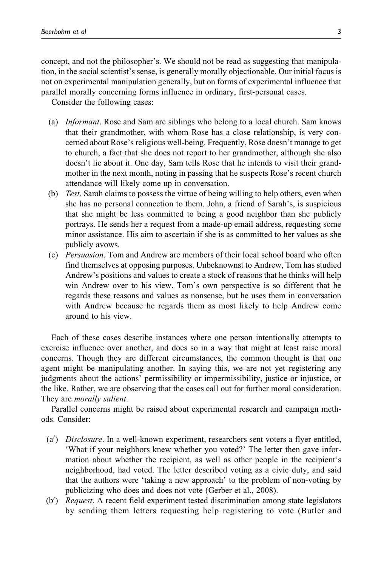concept, and not the philosopher's. We should not be read as suggesting that manipulation, in the social scientist's sense, is generally morally objectionable. Our initial focus is not on experimental manipulation generally, but on forms of experimental influence that parallel morally concerning forms influence in ordinary, first-personal cases.

Consider the following cases:

- (a) Informant. Rose and Sam are siblings who belong to a local church. Sam knows that their grandmother, with whom Rose has a close relationship, is very concerned about Rose's religious well-being. Frequently, Rose doesn't manage to get to church, a fact that she does not report to her grandmother, although she also doesn't lie about it. One day, Sam tells Rose that he intends to visit their grandmother in the next month, noting in passing that he suspects Rose's recent church attendance will likely come up in conversation.
- (b) Test. Sarah claims to possess the virtue of being willing to help others, even when she has no personal connection to them. John, a friend of Sarah's, is suspicious that she might be less committed to being a good neighbor than she publicly portrays. He sends her a request from a made-up email address, requesting some minor assistance. His aim to ascertain if she is as committed to her values as she publicly avows.
- (c) Persuasion. Tom and Andrew are members of their local school board who often find themselves at opposing purposes. Unbeknownst to Andrew, Tom has studied Andrew's positions and values to create a stock of reasons that he thinks will help win Andrew over to his view. Tom's own perspective is so different that he regards these reasons and values as nonsense, but he uses them in conversation with Andrew because he regards them as most likely to help Andrew come around to his view.

Each of these cases describe instances where one person intentionally attempts to exercise influence over another, and does so in a way that might at least raise moral concerns. Though they are different circumstances, the common thought is that one agent might be manipulating another. In saying this, we are not yet registering any judgments about the actions' permissibility or impermissibility, justice or injustice, or the like. Rather, we are observing that the cases call out for further moral consideration. They are *morally salient*.

Parallel concerns might be raised about experimental research and campaign methods. Consider:

- (a') Disclosure. In a well-known experiment, researchers sent voters a flyer entitled, 'What if your neighbors knew whether you voted?' The letter then gave information about whether the recipient, as well as other people in the recipient's neighborhood, had voted. The letter described voting as a civic duty, and said that the authors were 'taking a new approach' to the problem of non-voting by publicizing who does and does not vote (Gerber et al., 2008).
- (b') Request. A recent field experiment tested discrimination among state legislators by sending them letters requesting help registering to vote (Butler and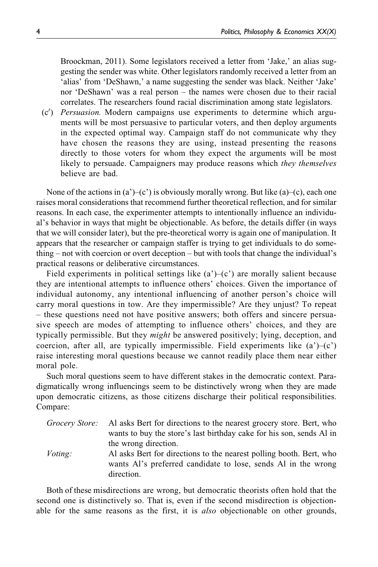Broockman, 2011). Some legislators received a letter from 'Jake,' an alias suggesting the sender was white. Other legislators randomly received a letter from an 'alias' from 'DeShawn,' a name suggesting the sender was black. Neither 'Jake' nor 'DeShawn' was a real person – the names were chosen due to their racial correlates. The researchers found racial discrimination among state legislators.

(c') Persuasion. Modern campaigns use experiments to determine which arguments will be most persuasive to particular voters, and then deploy arguments in the expected optimal way. Campaign staff do not communicate why they have chosen the reasons they are using, instead presenting the reasons directly to those voters for whom they expect the arguments will be most likely to persuade. Campaigners may produce reasons which they themselves believe are bad.

None of the actions in  $(a')-(c')$  is obviously morally wrong. But like  $(a)-(c)$ , each one raises moral considerations that recommend further theoretical reflection, and for similar reasons. In each case, the experimenter attempts to intentionally influence an individual's behavior in ways that might be objectionable. As before, the details differ (in ways that we will consider later), but the pre-theoretical worry is again one of manipulation. It appears that the researcher or campaign staffer is trying to get individuals to do something – not with coercion or overt deception – but with tools that change the individual's practical reasons or deliberative circumstances.

Field experiments in political settings like  $(a<sup>2</sup>)- (c<sup>2</sup>)$  are morally salient because they are intentional attempts to influence others' choices. Given the importance of individual autonomy, any intentional influencing of another person's choice will carry moral questions in tow. Are they impermissible? Are they unjust? To repeat – these questions need not have positive answers; both offers and sincere persuasive speech are modes of attempting to influence others' choices, and they are typically permissible. But they *might* be answered positively; lying, deception, and coercion, after all, are typically impermissible. Field experiments like  $(a')-(c')$ raise interesting moral questions because we cannot readily place them near either moral pole.

Such moral questions seem to have different stakes in the democratic context. Paradigmatically wrong influencings seem to be distinctively wrong when they are made upon democratic citizens, as those citizens discharge their political responsibilities. Compare:

|                | Grocery Store: Al asks Bert for directions to the nearest grocery store. Bert, who                                                   |
|----------------|--------------------------------------------------------------------------------------------------------------------------------------|
|                | wants to buy the store's last birthday cake for his son, sends Al in                                                                 |
|                | the wrong direction.                                                                                                                 |
| <i>Voting:</i> | Al asks Bert for directions to the nearest polling booth. Bert, who<br>wants Al's preferred candidate to lose, sends Al in the wrong |
|                | direction.                                                                                                                           |

Both of these misdirections are wrong, but democratic theorists often hold that the second one is distinctively so. That is, even if the second misdirection is objectionable for the same reasons as the first, it is *also* objectionable on other grounds,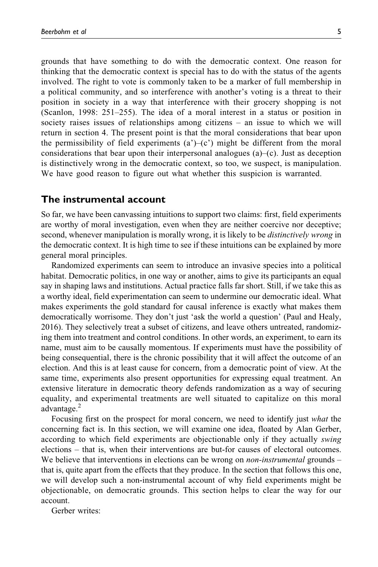grounds that have something to do with the democratic context. One reason for thinking that the democratic context is special has to do with the status of the agents involved. The right to vote is commonly taken to be a marker of full membership in a political community, and so interference with another's voting is a threat to their position in society in a way that interference with their grocery shopping is not (Scanlon, 1998: 251–255). The idea of a moral interest in a status or position in society raises issues of relationships among citizens – an issue to which we will return in section 4. The present point is that the moral considerations that bear upon the permissibility of field experiments (a')–(c') might be different from the moral considerations that bear upon their interpersonal analogues  $(a)$ – $(c)$ . Just as deception is distinctively wrong in the democratic context, so too, we suspect, is manipulation. We have good reason to figure out what whether this suspicion is warranted.

#### The instrumental account

So far, we have been canvassing intuitions to support two claims: first, field experiments are worthy of moral investigation, even when they are neither coercive nor deceptive; second, whenever manipulation is morally wrong, it is likely to be distinctively wrong in the democratic context. It is high time to see if these intuitions can be explained by more general moral principles.

Randomized experiments can seem to introduce an invasive species into a political habitat. Democratic politics, in one way or another, aims to give its participants an equal say in shaping laws and institutions. Actual practice falls far short. Still, if we take this as a worthy ideal, field experimentation can seem to undermine our democratic ideal. What makes experiments the gold standard for causal inference is exactly what makes them democratically worrisome. They don't just 'ask the world a question' (Paul and Healy, 2016). They selectively treat a subset of citizens, and leave others untreated, randomizing them into treatment and control conditions. In other words, an experiment, to earn its name, must aim to be causally momentous. If experiments must have the possibility of being consequential, there is the chronic possibility that it will affect the outcome of an election. And this is at least cause for concern, from a democratic point of view. At the same time, experiments also present opportunities for expressing equal treatment. An extensive literature in democratic theory defends randomization as a way of securing equality, and experimental treatments are well situated to capitalize on this moral advantage.<sup>2</sup>

Focusing first on the prospect for moral concern, we need to identify just what the concerning fact is. In this section, we will examine one idea, floated by Alan Gerber, according to which field experiments are objectionable only if they actually swing elections – that is, when their interventions are but-for causes of electoral outcomes. We believe that interventions in elections can be wrong on *non-instrumental* grounds – that is, quite apart from the effects that they produce. In the section that follows this one, we will develop such a non-instrumental account of why field experiments might be objectionable, on democratic grounds. This section helps to clear the way for our account.

Gerber writes: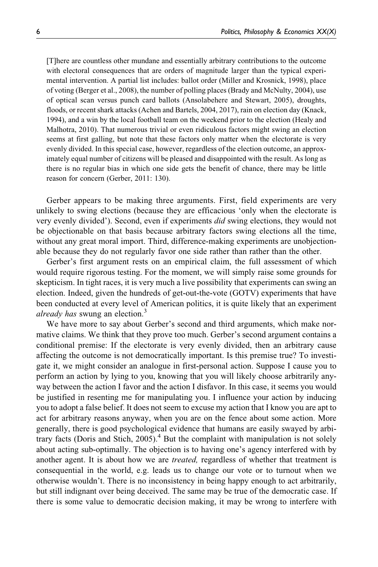[T]here are countless other mundane and essentially arbitrary contributions to the outcome with electoral consequences that are orders of magnitude larger than the typical experimental intervention. A partial list includes: ballot order (Miller and Krosnick, 1998), place of voting (Berger et al., 2008), the number of polling places (Brady and McNulty, 2004), use of optical scan versus punch card ballots (Ansolabehere and Stewart, 2005), droughts, floods, or recent shark attacks (Achen and Bartels, 2004, 2017), rain on election day (Knack, 1994), and a win by the local football team on the weekend prior to the election (Healy and Malhotra, 2010). That numerous trivial or even ridiculous factors might swing an election seems at first galling, but note that these factors only matter when the electorate is very evenly divided. In this special case, however, regardless of the election outcome, an approximately equal number of citizens will be pleased and disappointed with the result. As long as there is no regular bias in which one side gets the benefit of chance, there may be little reason for concern (Gerber, 2011: 130).

Gerber appears to be making three arguments. First, field experiments are very unlikely to swing elections (because they are efficacious 'only when the electorate is very evenly divided'). Second, even if experiments *did* swing elections, they would not be objectionable on that basis because arbitrary factors swing elections all the time, without any great moral import. Third, difference-making experiments are unobjectionable because they do not regularly favor one side rather than rather than the other.

Gerber's first argument rests on an empirical claim, the full assessment of which would require rigorous testing. For the moment, we will simply raise some grounds for skepticism. In tight races, it is very much a live possibility that experiments can swing an election. Indeed, given the hundreds of get-out-the-vote (GOTV) experiments that have been conducted at every level of American politics, it is quite likely that an experiment already has swung an election. $3$ 

We have more to say about Gerber's second and third arguments, which make normative claims. We think that they prove too much. Gerber's second argument contains a conditional premise: If the electorate is very evenly divided, then an arbitrary cause affecting the outcome is not democratically important. Is this premise true? To investigate it, we might consider an analogue in first-personal action. Suppose I cause you to perform an action by lying to you, knowing that you will likely choose arbitrarily anyway between the action I favor and the action I disfavor. In this case, it seems you would be justified in resenting me for manipulating you. I influence your action by inducing you to adopt a false belief. It does not seem to excuse my action that I know you are apt to act for arbitrary reasons anyway, when you are on the fence about some action. More generally, there is good psychological evidence that humans are easily swayed by arbitrary facts (Doris and Stich,  $2005$ ).<sup>4</sup> But the complaint with manipulation is not solely about acting sub-optimally. The objection is to having one's agency interfered with by another agent. It is about how we are *treated*, regardless of whether that treatment is consequential in the world, e.g. leads us to change our vote or to turnout when we otherwise wouldn't. There is no inconsistency in being happy enough to act arbitrarily, but still indignant over being deceived. The same may be true of the democratic case. If there is some value to democratic decision making, it may be wrong to interfere with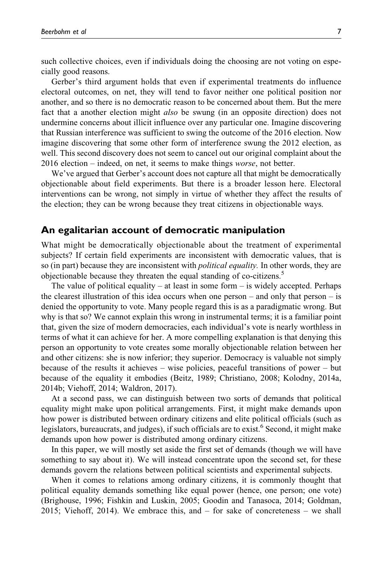such collective choices, even if individuals doing the choosing are not voting on especially good reasons.

Gerber's third argument holds that even if experimental treatments do influence electoral outcomes, on net, they will tend to favor neither one political position nor another, and so there is no democratic reason to be concerned about them. But the mere fact that a another election might also be swung (in an opposite direction) does not undermine concerns about illicit influence over any particular one. Imagine discovering that Russian interference was sufficient to swing the outcome of the 2016 election. Now imagine discovering that some other form of interference swung the 2012 election, as well. This second discovery does not seem to cancel out our original complaint about the 2016 election – indeed, on net, it seems to make things worse, not better.

We've argued that Gerber's account does not capture all that might be democratically objectionable about field experiments. But there is a broader lesson here. Electoral interventions can be wrong, not simply in virtue of whether they affect the results of the election; they can be wrong because they treat citizens in objectionable ways.

## An egalitarian account of democratic manipulation

What might be democratically objectionable about the treatment of experimental subjects? If certain field experiments are inconsistent with democratic values, that is so (in part) because they are inconsistent with *political equality*. In other words, they are objectionable because they threaten the equal standing of co-citizens.<sup>5</sup>

The value of political equality – at least in some form  $-$  is widely accepted. Perhaps the clearest illustration of this idea occurs when one person – and only that person – is denied the opportunity to vote. Many people regard this is as a paradigmatic wrong. But why is that so? We cannot explain this wrong in instrumental terms; it is a familiar point that, given the size of modern democracies, each individual's vote is nearly worthless in terms of what it can achieve for her. A more compelling explanation is that denying this person an opportunity to vote creates some morally objectionable relation between her and other citizens: she is now inferior; they superior. Democracy is valuable not simply because of the results it achieves – wise policies, peaceful transitions of power – but because of the equality it embodies (Beitz, 1989; Christiano, 2008; Kolodny, 2014a, 2014b; Viehoff, 2014; Waldron, 2017).

At a second pass, we can distinguish between two sorts of demands that political equality might make upon political arrangements. First, it might make demands upon how power is distributed between ordinary citizens and elite political officials (such as legislators, bureaucrats, and judges), if such officials are to exist.<sup>6</sup> Second, it might make demands upon how power is distributed among ordinary citizens.

In this paper, we will mostly set aside the first set of demands (though we will have something to say about it). We will instead concentrate upon the second set, for these demands govern the relations between political scientists and experimental subjects.

When it comes to relations among ordinary citizens, it is commonly thought that political equality demands something like equal power (hence, one person; one vote) (Brighouse, 1996; Fishkin and Luskin, 2005; Goodin and Tanasoca, 2014; Goldman, 2015; Viehoff, 2014). We embrace this, and – for sake of concreteness – we shall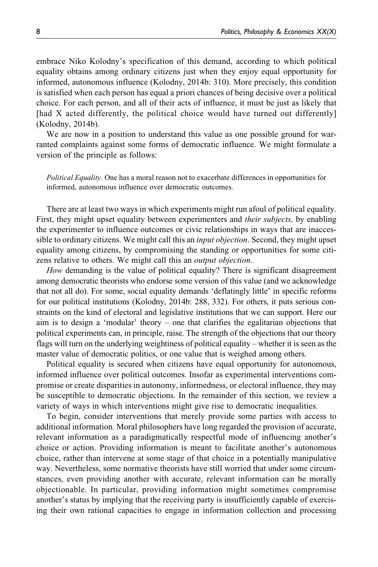embrace Niko Kolodny's specification of this demand, according to which political equality obtains among ordinary citizens just when they enjoy equal opportunity for informed, autonomous influence (Kolodny, 2014b: 310). More precisely, this condition is satisfied when each person has equal a priori chances of being decisive over a political choice. For each person, and all of their acts of influence, it must be just as likely that [had X acted differently, the political choice would have turned out differently] (Kolodny, 2014b).

We are now in a position to understand this value as one possible ground for warranted complaints against some forms of democratic influence. We might formulate a version of the principle as follows:

Political Equality. One has a moral reason not to exacerbate differences in opportunities for informed, autonomous influence over democratic outcomes.

There are at least two ways in which experiments might run afoul of political equality. First, they might upset equality between experimenters and *their subjects*, by enabling the experimenter to influence outcomes or civic relationships in ways that are inaccessible to ordinary citizens. We might call this an *input objection*. Second, they might upset equality among citizens, by compromising the standing or opportunities for some citizens relative to others. We might call this an *output objection*.

How demanding is the value of political equality? There is significant disagreement among democratic theorists who endorse some version of this value (and we acknowledge that not all do). For some, social equality demands 'deflatingly little' in specific reforms for our political institutions (Kolodny, 2014b: 288, 332). For others, it puts serious constraints on the kind of electoral and legislative institutions that we can support. Here our aim is to design a 'modular' theory – one that clarifies the egalitarian objections that political experiments can, in principle, raise. The strength of the objections that our theory flags will turn on the underlying weightiness of political equality – whether it is seen as the master value of democratic politics, or one value that is weighed among others.

Political equality is secured when citizens have equal opportunity for autonomous, informed influence over political outcomes. Insofar as experimental interventions compromise or create disparities in autonomy, informedness, or electoral influence, they may be susceptible to democratic objections. In the remainder of this section, we review a variety of ways in which interventions might give rise to democratic inequalities.

To begin, consider interventions that merely provide some parties with access to additional information. Moral philosophers have long regarded the provision of accurate, relevant information as a paradigmatically respectful mode of influencing another's choice or action. Providing information is meant to facilitate another's autonomous choice, rather than intervene at some stage of that choice in a potentially manipulative way. Nevertheless, some normative theorists have still worried that under some circumstances, even providing another with accurate, relevant information can be morally objectionable. In particular, providing information might sometimes compromise another's status by implying that the receiving party is insufficiently capable of exercising their own rational capacities to engage in information collection and processing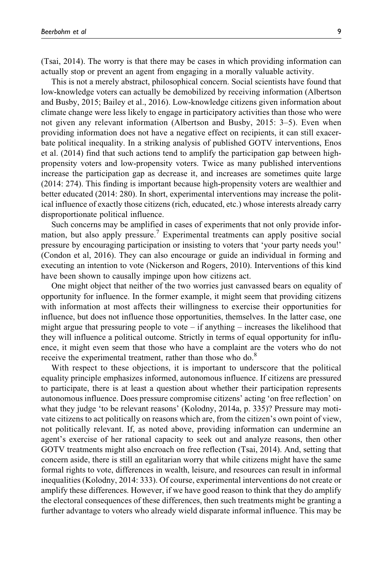(Tsai, 2014). The worry is that there may be cases in which providing information can actually stop or prevent an agent from engaging in a morally valuable activity.

This is not a merely abstract, philosophical concern. Social scientists have found that low-knowledge voters can actually be demobilized by receiving information (Albertson and Busby, 2015; Bailey et al., 2016). Low-knowledge citizens given information about climate change were less likely to engage in participatory activities than those who were not given any relevant information (Albertson and Busby, 2015: 3–5). Even when providing information does not have a negative effect on recipients, it can still exacerbate political inequality. In a striking analysis of published GOTV interventions, Enos et al. (2014) find that such actions tend to amplify the participation gap between highpropensity voters and low-propensity voters. Twice as many published interventions increase the participation gap as decrease it, and increases are sometimes quite large (2014: 274). This finding is important because high-propensity voters are wealthier and better educated (2014: 280). In short, experimental interventions may increase the political influence of exactly those citizens (rich, educated, etc.) whose interests already carry disproportionate political influence.

Such concerns may be amplified in cases of experiments that not only provide information, but also apply pressure.<sup>7</sup> Experimental treatments can apply positive social pressure by encouraging participation or insisting to voters that 'your party needs you!' (Condon et al, 2016). They can also encourage or guide an individual in forming and executing an intention to vote (Nickerson and Rogers, 2010). Interventions of this kind have been shown to causally impinge upon how citizens act.

One might object that neither of the two worries just canvassed bears on equality of opportunity for influence. In the former example, it might seem that providing citizens with information at most affects their willingness to exercise their opportunities for influence, but does not influence those opportunities, themselves. In the latter case, one might argue that pressuring people to vote  $-$  if anything  $-$  increases the likelihood that they will influence a political outcome. Strictly in terms of equal opportunity for influence, it might even seem that those who have a complaint are the voters who do not receive the experimental treatment, rather than those who do.<sup>8</sup>

With respect to these objections, it is important to underscore that the political equality principle emphasizes informed, autonomous influence. If citizens are pressured to participate, there is at least a question about whether their participation represents autonomous influence. Does pressure compromise citizens' acting 'on free reflection' on what they judge 'to be relevant reasons' (Kolodny, 2014a, p. 335)? Pressure may motivate citizens to act politically on reasons which are, from the citizen's own point of view, not politically relevant. If, as noted above, providing information can undermine an agent's exercise of her rational capacity to seek out and analyze reasons, then other GOTV treatments might also encroach on free reflection (Tsai, 2014). And, setting that concern aside, there is still an egalitarian worry that while citizens might have the same formal rights to vote, differences in wealth, leisure, and resources can result in informal inequalities (Kolodny, 2014: 333). Of course, experimental interventions do not create or amplify these differences. However, if we have good reason to think that they do amplify the electoral consequences of these differences, then such treatments might be granting a further advantage to voters who already wield disparate informal influence. This may be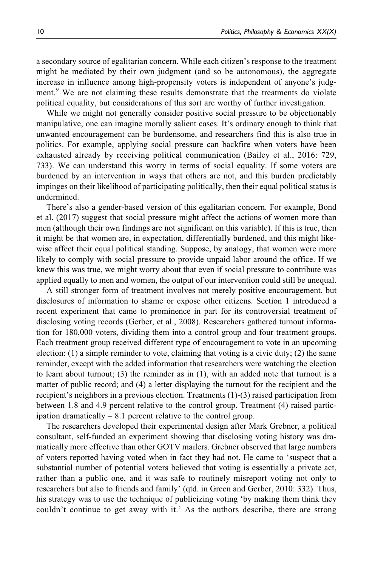a secondary source of egalitarian concern. While each citizen's response to the treatment might be mediated by their own judgment (and so be autonomous), the aggregate increase in influence among high-propensity voters is independent of anyone's judgment.<sup>9</sup> We are not claiming these results demonstrate that the treatments do violate political equality, but considerations of this sort are worthy of further investigation.

While we might not generally consider positive social pressure to be objectionably manipulative, one can imagine morally salient cases. It's ordinary enough to think that unwanted encouragement can be burdensome, and researchers find this is also true in politics. For example, applying social pressure can backfire when voters have been exhausted already by receiving political communication (Bailey et al., 2016: 729, 733). We can understand this worry in terms of social equality. If some voters are burdened by an intervention in ways that others are not, and this burden predictably impinges on their likelihood of participating politically, then their equal political status is undermined.

There's also a gender-based version of this egalitarian concern. For example, Bond et al. (2017) suggest that social pressure might affect the actions of women more than men (although their own findings are not significant on this variable). If this is true, then it might be that women are, in expectation, differentially burdened, and this might likewise affect their equal political standing. Suppose, by analogy, that women were more likely to comply with social pressure to provide unpaid labor around the office. If we knew this was true, we might worry about that even if social pressure to contribute was applied equally to men and women, the output of our intervention could still be unequal.

A still stronger form of treatment involves not merely positive encouragement, but disclosures of information to shame or expose other citizens. Section 1 introduced a recent experiment that came to prominence in part for its controversial treatment of disclosing voting records (Gerber, et al., 2008). Researchers gathered turnout information for 180,000 voters, dividing them into a control group and four treatment groups. Each treatment group received different type of encouragement to vote in an upcoming election:  $(1)$  a simple reminder to vote, claiming that voting is a civic duty;  $(2)$  the same reminder, except with the added information that researchers were watching the election to learn about turnout; (3) the reminder as in  $(1)$ , with an added note that turnout is a matter of public record; and (4) a letter displaying the turnout for the recipient and the recipient's neighbors in a previous election. Treatments (1)-(3) raised participation from between 1.8 and 4.9 percent relative to the control group. Treatment (4) raised participation dramatically – 8.1 percent relative to the control group.

The researchers developed their experimental design after Mark Grebner, a political consultant, self-funded an experiment showing that disclosing voting history was dramatically more effective than other GOTV mailers. Grebner observed that large numbers of voters reported having voted when in fact they had not. He came to 'suspect that a substantial number of potential voters believed that voting is essentially a private act, rather than a public one, and it was safe to routinely misreport voting not only to researchers but also to friends and family' (qtd. in Green and Gerber, 2010: 332). Thus, his strategy was to use the technique of publicizing voting 'by making them think they couldn't continue to get away with it.' As the authors describe, there are strong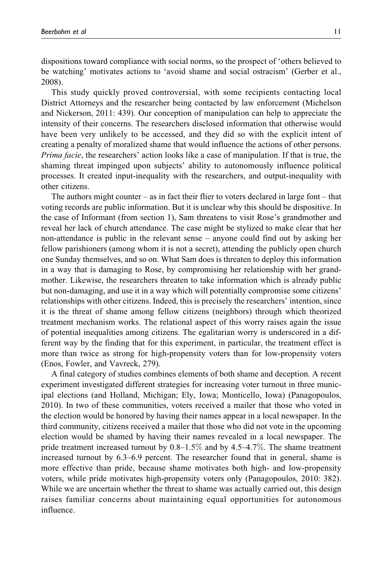dispositions toward compliance with social norms, so the prospect of 'others believed to be watching' motivates actions to 'avoid shame and social ostracism' (Gerber et al., 2008).

This study quickly proved controversial, with some recipients contacting local District Attorneys and the researcher being contacted by law enforcement (Michelson and Nickerson, 2011: 439). Our conception of manipulation can help to appreciate the intensity of their concerns. The researchers disclosed information that otherwise would have been very unlikely to be accessed, and they did so with the explicit intent of creating a penalty of moralized shame that would influence the actions of other persons. Prima facie, the researchers' action looks like a case of manipulation. If that is true, the shaming threat impinged upon subjects' ability to autonomously influence political processes. It created input-inequality with the researchers, and output-inequality with other citizens.

The authors might counter – as in fact their flier to voters declared in large font – that voting records are public information. But it is unclear why this should be dispositive. In the case of Informant (from section 1), Sam threatens to visit Rose's grandmother and reveal her lack of church attendance. The case might be stylized to make clear that her non-attendance is public in the relevant sense – anyone could find out by asking her fellow parishioners (among whom it is not a secret), attending the publicly open church one Sunday themselves, and so on. What Sam does is threaten to deploy this information in a way that is damaging to Rose, by compromising her relationship with her grandmother. Likewise, the researchers threaten to take information which is already public but non-damaging, and use it in a way which will potentially compromise some citizens' relationships with other citizens. Indeed, this is precisely the researchers' intention, since it is the threat of shame among fellow citizens (neighbors) through which theorized treatment mechanism works. The relational aspect of this worry raises again the issue of potential inequalities among citizens. The egalitarian worry is underscored in a different way by the finding that for this experiment, in particular, the treatment effect is more than twice as strong for high-propensity voters than for low-propensity voters (Enos, Fowler, and Vavreck, 279).

A final category of studies combines elements of both shame and deception. A recent experiment investigated different strategies for increasing voter turnout in three municipal elections (and Holland, Michigan; Ely, Iowa; Monticello, Iowa) (Panagopoulos, 2010). In two of these communities, voters received a mailer that those who voted in the election would be honored by having their names appear in a local newspaper. In the third community, citizens received a mailer that those who did not vote in the upcoming election would be shamed by having their names revealed in a local newspaper. The pride treatment increased turnout by  $0.8-1.5\%$  and by  $4.5-4.7\%$ . The shame treatment increased turnout by 6.3–6.9 percent. The researcher found that in general, shame is more effective than pride, because shame motivates both high- and low-propensity voters, while pride motivates high-propensity voters only (Panagopoulos, 2010: 382). While we are uncertain whether the threat to shame was actually carried out, this design raises familiar concerns about maintaining equal opportunities for autonomous influence.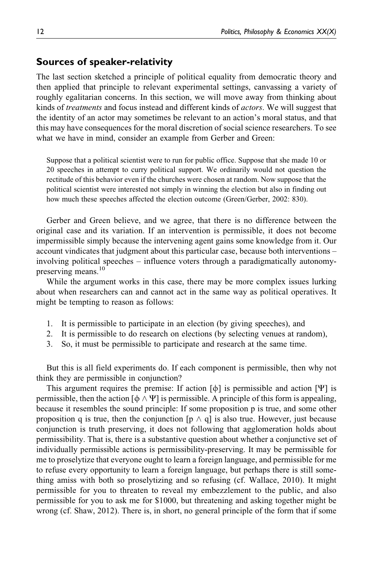## Sources of speaker-relativity

The last section sketched a principle of political equality from democratic theory and then applied that principle to relevant experimental settings, canvassing a variety of roughly egalitarian concerns. In this section, we will move away from thinking about kinds of *treatments* and focus instead and different kinds of *actors*. We will suggest that the identity of an actor may sometimes be relevant to an action's moral status, and that this may have consequences for the moral discretion of social science researchers. To see what we have in mind, consider an example from Gerber and Green:

Suppose that a political scientist were to run for public office. Suppose that she made 10 or 20 speeches in attempt to curry political support. We ordinarily would not question the rectitude of this behavior even if the churches were chosen at random. Now suppose that the political scientist were interested not simply in winning the election but also in finding out how much these speeches affected the election outcome (Green/Gerber, 2002: 830).

Gerber and Green believe, and we agree, that there is no difference between the original case and its variation. If an intervention is permissible, it does not become impermissible simply because the intervening agent gains some knowledge from it. Our account vindicates that judgment about this particular case, because both interventions – involving political speeches – influence voters through a paradigmatically autonomypreserving means.<sup>10</sup>

While the argument works in this case, there may be more complex issues lurking about when researchers can and cannot act in the same way as political operatives. It might be tempting to reason as follows:

- 1. It is permissible to participate in an election (by giving speeches), and
- 2. It is permissible to do research on elections (by selecting venues at random),
- 3. So, it must be permissible to participate and research at the same time.

But this is all field experiments do. If each component is permissible, then why not think they are permissible in conjunction?

This argument requires the premise: If action  $[\phi]$  is permissible and action  $[\Psi]$  is permissible, then the action [ $\phi \wedge \Psi$ ] is permissible. A principle of this form is appealing, because it resembles the sound principle: If some proposition p is true, and some other proposition q is true, then the conjunction  $[p \wedge q]$  is also true. However, just because conjunction is truth preserving, it does not following that agglomeration holds about permissibility. That is, there is a substantive question about whether a conjunctive set of individually permissible actions is permissibility-preserving. It may be permissible for me to proselytize that everyone ought to learn a foreign language, and permissible for me to refuse every opportunity to learn a foreign language, but perhaps there is still something amiss with both so proselytizing and so refusing (cf. Wallace, 2010). It might permissible for you to threaten to reveal my embezzlement to the public, and also permissible for you to ask me for \$1000, but threatening and asking together might be wrong (cf. Shaw, 2012). There is, in short, no general principle of the form that if some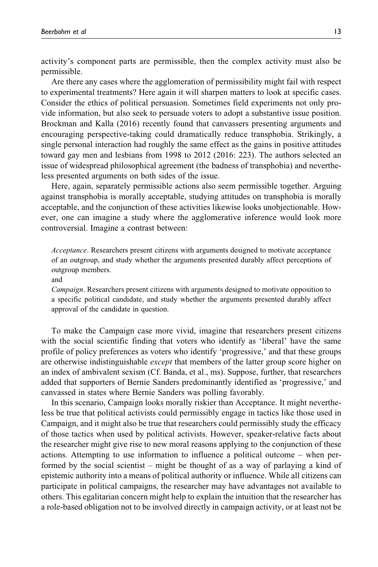activity's component parts are permissible, then the complex activity must also be permissible.

Are there any cases where the agglomeration of permissibility might fail with respect to experimental treatments? Here again it will sharpen matters to look at specific cases. Consider the ethics of political persuasion. Sometimes field experiments not only provide information, but also seek to persuade voters to adopt a substantive issue position. Brockman and Kalla (2016) recently found that canvassers presenting arguments and encouraging perspective-taking could dramatically reduce transphobia. Strikingly, a single personal interaction had roughly the same effect as the gains in positive attitudes toward gay men and lesbians from 1998 to 2012 (2016: 223). The authors selected an issue of widespread philosophical agreement (the badness of transphobia) and nevertheless presented arguments on both sides of the issue.

Here, again, separately permissible actions also seem permissible together. Arguing against transphobia is morally acceptable, studying attitudes on transphobia is morally acceptable, and the conjunction of these activities likewise looks unobjectionable. However, one can imagine a study where the agglomerative inference would look more controversial. Imagine a contrast between:

Acceptance. Researchers present citizens with arguments designed to motivate acceptance of an outgroup, and study whether the arguments presented durably affect perceptions of outgroup members.

and

Campaign. Researchers present citizens with arguments designed to motivate opposition to a specific political candidate, and study whether the arguments presented durably affect approval of the candidate in question.

To make the Campaign case more vivid, imagine that researchers present citizens with the social scientific finding that voters who identify as 'liberal' have the same profile of policy preferences as voters who identify 'progressive,' and that these groups are otherwise indistinguishable *except* that members of the latter group score higher on an index of ambivalent sexism (Cf. Banda, et al., ms). Suppose, further, that researchers added that supporters of Bernie Sanders predominantly identified as 'progressive,' and canvassed in states where Bernie Sanders was polling favorably.

In this scenario, Campaign looks morally riskier than Acceptance. It might nevertheless be true that political activists could permissibly engage in tactics like those used in Campaign, and it might also be true that researchers could permissibly study the efficacy of those tactics when used by political activists. However, speaker-relative facts about the researcher might give rise to new moral reasons applying to the conjunction of these actions. Attempting to use information to influence a political outcome – when performed by the social scientist – might be thought of as a way of parlaying a kind of epistemic authority into a means of political authority or influence. While all citizens can participate in political campaigns, the researcher may have advantages not available to others. This egalitarian concern might help to explain the intuition that the researcher has a role-based obligation not to be involved directly in campaign activity, or at least not be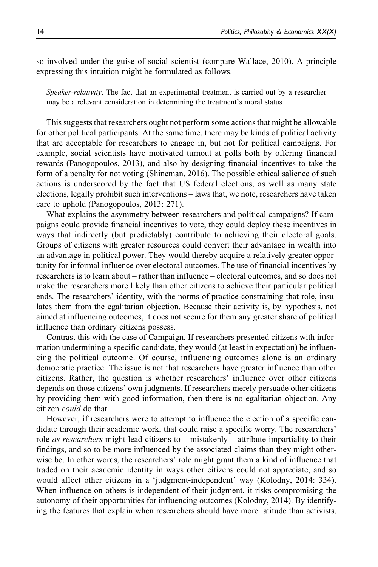so involved under the guise of social scientist (compare Wallace, 2010). A principle expressing this intuition might be formulated as follows.

Speaker-relativity. The fact that an experimental treatment is carried out by a researcher may be a relevant consideration in determining the treatment's moral status.

This suggests that researchers ought not perform some actions that might be allowable for other political participants. At the same time, there may be kinds of political activity that are acceptable for researchers to engage in, but not for political campaigns. For example, social scientists have motivated turnout at polls both by offering financial rewards (Panogopoulos, 2013), and also by designing financial incentives to take the form of a penalty for not voting (Shineman, 2016). The possible ethical salience of such actions is underscored by the fact that US federal elections, as well as many state elections, legally prohibit such interventions – laws that, we note, researchers have taken care to uphold (Panogopoulos, 2013: 271).

What explains the asymmetry between researchers and political campaigns? If campaigns could provide financial incentives to vote, they could deploy these incentives in ways that indirectly (but predictably) contribute to achieving their electoral goals. Groups of citizens with greater resources could convert their advantage in wealth into an advantage in political power. They would thereby acquire a relatively greater opportunity for informal influence over electoral outcomes. The use of financial incentives by researchers is to learn about – rather than influence – electoral outcomes, and so does not make the researchers more likely than other citizens to achieve their particular political ends. The researchers' identity, with the norms of practice constraining that role, insulates them from the egalitarian objection. Because their activity is, by hypothesis, not aimed at influencing outcomes, it does not secure for them any greater share of political influence than ordinary citizens possess.

Contrast this with the case of Campaign. If researchers presented citizens with information undermining a specific candidate, they would (at least in expectation) be influencing the political outcome. Of course, influencing outcomes alone is an ordinary democratic practice. The issue is not that researchers have greater influence than other citizens. Rather, the question is whether researchers' influence over other citizens depends on those citizens' own judgments. If researchers merely persuade other citizens by providing them with good information, then there is no egalitarian objection. Any citizen *could* do that.

However, if researchers were to attempt to influence the election of a specific candidate through their academic work, that could raise a specific worry. The researchers' role *as researchers* might lead citizens to – mistakenly – attribute impartiality to their findings, and so to be more influenced by the associated claims than they might otherwise be. In other words, the researchers' role might grant them a kind of influence that traded on their academic identity in ways other citizens could not appreciate, and so would affect other citizens in a 'judgment-independent' way (Kolodny, 2014: 334). When influence on others is independent of their judgment, it risks compromising the autonomy of their opportunities for influencing outcomes (Kolodny, 2014). By identifying the features that explain when researchers should have more latitude than activists,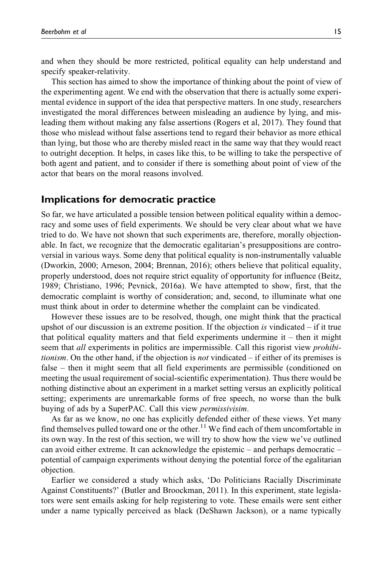and when they should be more restricted, political equality can help understand and specify speaker-relativity.

This section has aimed to show the importance of thinking about the point of view of the experimenting agent. We end with the observation that there is actually some experimental evidence in support of the idea that perspective matters. In one study, researchers investigated the moral differences between misleading an audience by lying, and misleading them without making any false assertions (Rogers et al, 2017). They found that those who mislead without false assertions tend to regard their behavior as more ethical than lying, but those who are thereby misled react in the same way that they would react to outright deception. It helps, in cases like this, to be willing to take the perspective of both agent and patient, and to consider if there is something about point of view of the actor that bears on the moral reasons involved.

## Implications for democratic practice

So far, we have articulated a possible tension between political equality within a democracy and some uses of field experiments. We should be very clear about what we have tried to do. We have not shown that such experiments are, therefore, morally objectionable. In fact, we recognize that the democratic egalitarian's presuppositions are controversial in various ways. Some deny that political equality is non-instrumentally valuable (Dworkin, 2000; Arneson, 2004; Brennan, 2016); others believe that political equality, properly understood, does not require strict equality of opportunity for influence (Beitz, 1989; Christiano, 1996; Pevnick, 2016a). We have attempted to show, first, that the democratic complaint is worthy of consideration; and, second, to illuminate what one must think about in order to determine whether the complaint can be vindicated.

However these issues are to be resolved, though, one might think that the practical upshot of our discussion is an extreme position. If the objection is vindicated  $-$  if it true that political equality matters and that field experiments undermine it  $-$  then it might seem that *all* experiments in politics are impermissible. Call this rigorist view *prohibitionism*. On the other hand, if the objection is *not* vindicated – if either of its premises is false – then it might seem that all field experiments are permissible (conditioned on meeting the usual requirement of social-scientific experimentation). Thus there would be nothing distinctive about an experiment in a market setting versus an explicitly political setting; experiments are unremarkable forms of free speech, no worse than the bulk buying of ads by a SuperPAC. Call this view permissivisim.

As far as we know, no one has explicitly defended either of these views. Yet many find themselves pulled toward one or the other.<sup>11</sup> We find each of them uncomfortable in its own way. In the rest of this section, we will try to show how the view we've outlined can avoid either extreme. It can acknowledge the epistemic – and perhaps democratic – potential of campaign experiments without denying the potential force of the egalitarian objection.

Earlier we considered a study which asks, 'Do Politicians Racially Discriminate Against Constituents?' (Butler and Broockman, 2011). In this experiment, state legislators were sent emails asking for help registering to vote. These emails were sent either under a name typically perceived as black (DeShawn Jackson), or a name typically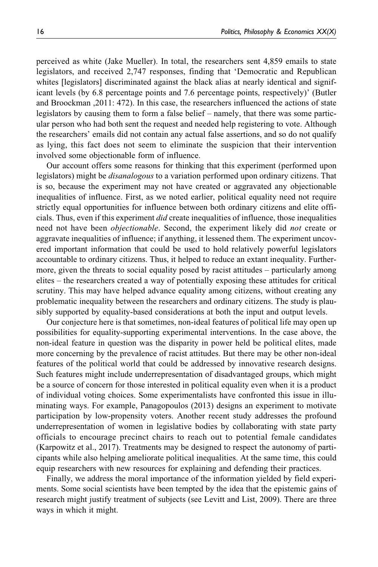perceived as white (Jake Mueller). In total, the researchers sent 4,859 emails to state legislators, and received 2,747 responses, finding that 'Democratic and Republican whites [legislators] discriminated against the black alias at nearly identical and significant levels (by 6.8 percentage points and 7.6 percentage points, respectively)' (Butler and Broockman ,2011: 472). In this case, the researchers influenced the actions of state legislators by causing them to form a false belief – namely, that there was some particular person who had both sent the request and needed help registering to vote. Although the researchers' emails did not contain any actual false assertions, and so do not qualify as lying, this fact does not seem to eliminate the suspicion that their intervention involved some objectionable form of influence.

Our account offers some reasons for thinking that this experiment (performed upon legislators) might be *disanalogous* to a variation performed upon ordinary citizens. That is so, because the experiment may not have created or aggravated any objectionable inequalities of influence. First, as we noted earlier, political equality need not require strictly equal opportunities for influence between both ordinary citizens and elite officials. Thus, even if this experiment *did* create inequalities of influence, those inequalities need not have been *objectionable*. Second, the experiment likely did *not* create or aggravate inequalities of influence; if anything, it lessened them. The experiment uncovered important information that could be used to hold relatively powerful legislators accountable to ordinary citizens. Thus, it helped to reduce an extant inequality. Furthermore, given the threats to social equality posed by racist attitudes – particularly among elites – the researchers created a way of potentially exposing these attitudes for critical scrutiny. This may have helped advance equality among citizens, without creating any problematic inequality between the researchers and ordinary citizens. The study is plausibly supported by equality-based considerations at both the input and output levels.

Our conjecture here is that sometimes, non-ideal features of political life may open up possibilities for equality-supporting experimental interventions. In the case above, the non-ideal feature in question was the disparity in power held be political elites, made more concerning by the prevalence of racist attitudes. But there may be other non-ideal features of the political world that could be addressed by innovative research designs. Such features might include underrepresentation of disadvantaged groups, which might be a source of concern for those interested in political equality even when it is a product of individual voting choices. Some experimentalists have confronted this issue in illuminating ways. For example, Panagopoulos (2013) designs an experiment to motivate participation by low-propensity voters. Another recent study addresses the profound underrepresentation of women in legislative bodies by collaborating with state party officials to encourage precinct chairs to reach out to potential female candidates (Karpowitz et al., 2017). Treatments may be designed to respect the autonomy of participants while also helping ameliorate political inequalities. At the same time, this could equip researchers with new resources for explaining and defending their practices.

Finally, we address the moral importance of the information yielded by field experiments. Some social scientists have been tempted by the idea that the epistemic gains of research might justify treatment of subjects (see Levitt and List, 2009). There are three ways in which it might.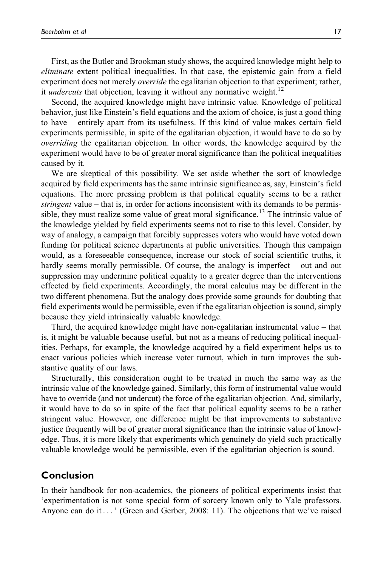First, as the Butler and Brookman study shows, the acquired knowledge might help to eliminate extent political inequalities. In that case, the epistemic gain from a field experiment does not merely *override* the egalitarian objection to that experiment; rather, it *undercuts* that objection, leaving it without any normative weight.<sup>12</sup>

Second, the acquired knowledge might have intrinsic value. Knowledge of political behavior, just like Einstein's field equations and the axiom of choice, is just a good thing to have – entirely apart from its usefulness. If this kind of value makes certain field experiments permissible, in spite of the egalitarian objection, it would have to do so by overriding the egalitarian objection. In other words, the knowledge acquired by the experiment would have to be of greater moral significance than the political inequalities caused by it.

We are skeptical of this possibility. We set aside whether the sort of knowledge acquired by field experiments has the same intrinsic significance as, say, Einstein's field equations. The more pressing problem is that political equality seems to be a rather stringent value – that is, in order for actions inconsistent with its demands to be permissible, they must realize some value of great moral significance.<sup>13</sup> The intrinsic value of the knowledge yielded by field experiments seems not to rise to this level. Consider, by way of analogy, a campaign that forcibly suppresses voters who would have voted down funding for political science departments at public universities. Though this campaign would, as a foreseeable consequence, increase our stock of social scientific truths, it hardly seems morally permissible. Of course, the analogy is imperfect – out and out suppression may undermine political equality to a greater degree than the interventions effected by field experiments. Accordingly, the moral calculus may be different in the two different phenomena. But the analogy does provide some grounds for doubting that field experiments would be permissible, even if the egalitarian objection is sound, simply because they yield intrinsically valuable knowledge.

Third, the acquired knowledge might have non-egalitarian instrumental value – that is, it might be valuable because useful, but not as a means of reducing political inequalities. Perhaps, for example, the knowledge acquired by a field experiment helps us to enact various policies which increase voter turnout, which in turn improves the substantive quality of our laws.

Structurally, this consideration ought to be treated in much the same way as the intrinsic value of the knowledge gained. Similarly, this form of instrumental value would have to override (and not undercut) the force of the egalitarian objection. And, similarly, it would have to do so in spite of the fact that political equality seems to be a rather stringent value. However, one difference might be that improvements to substantive justice frequently will be of greater moral significance than the intrinsic value of knowledge. Thus, it is more likely that experiments which genuinely do yield such practically valuable knowledge would be permissible, even if the egalitarian objection is sound.

## Conclusion

In their handbook for non-academics, the pioneers of political experiments insist that 'experimentation is not some special form of sorcery known only to Yale professors. Anyone can do it ... ' (Green and Gerber, 2008: 11). The objections that we've raised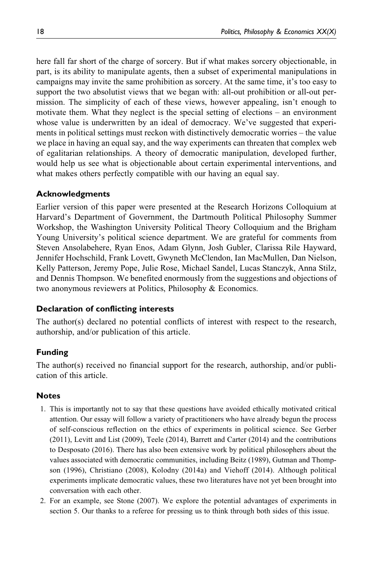here fall far short of the charge of sorcery. But if what makes sorcery objectionable, in part, is its ability to manipulate agents, then a subset of experimental manipulations in campaigns may invite the same prohibition as sorcery. At the same time, it's too easy to support the two absolutist views that we began with: all-out prohibition or all-out permission. The simplicity of each of these views, however appealing, isn't enough to motivate them. What they neglect is the special setting of elections – an environment whose value is underwritten by an ideal of democracy. We've suggested that experiments in political settings must reckon with distinctively democratic worries – the value we place in having an equal say, and the way experiments can threaten that complex web of egalitarian relationships. A theory of democratic manipulation, developed further, would help us see what is objectionable about certain experimental interventions, and what makes others perfectly compatible with our having an equal say.

## Acknowledgments

Earlier version of this paper were presented at the Research Horizons Colloquium at Harvard's Department of Government, the Dartmouth Political Philosophy Summer Workshop, the Washington University Political Theory Colloquium and the Brigham Young University's political science department. We are grateful for comments from Steven Ansolabehere, Ryan Enos, Adam Glynn, Josh Gubler, Clarissa Rile Hayward, Jennifer Hochschild, Frank Lovett, Gwyneth McClendon, Ian MacMullen, Dan Nielson, Kelly Patterson, Jeremy Pope, Julie Rose, Michael Sandel, Lucas Stanczyk, Anna Stilz, and Dennis Thompson. We benefited enormously from the suggestions and objections of two anonymous reviewers at Politics, Philosophy & Economics.

## Declaration of conflicting interests

The author(s) declared no potential conflicts of interest with respect to the research, authorship, and/or publication of this article.

## Funding

The author(s) received no financial support for the research, authorship, and/or publication of this article.

## **Notes**

- 1. This is importantly not to say that these questions have avoided ethically motivated critical attention. Our essay will follow a variety of practitioners who have already begun the process of self-conscious reflection on the ethics of experiments in political science. See Gerber (2011), Levitt and List (2009), Teele (2014), Barrett and Carter (2014) and the contributions to Desposato (2016). There has also been extensive work by political philosophers about the values associated with democratic communities, including Beitz (1989), Gutman and Thompson (1996), Christiano (2008), Kolodny (2014a) and Viehoff (2014). Although political experiments implicate democratic values, these two literatures have not yet been brought into conversation with each other.
- 2. For an example, see Stone (2007). We explore the potential advantages of experiments in section 5. Our thanks to a referee for pressing us to think through both sides of this issue.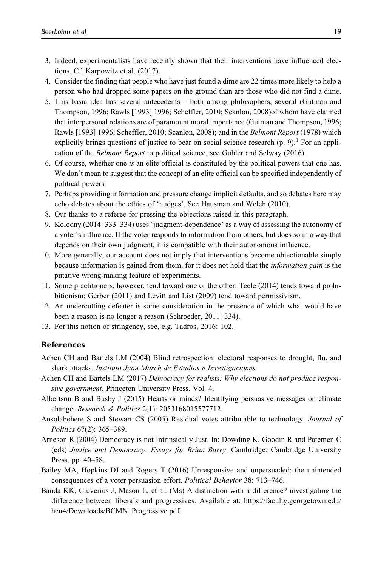- 3. Indeed, experimentalists have recently shown that their interventions have influenced elections. Cf. Karpowitz et al. (2017).
- 4. Consider the finding that people who have just found a dime are 22 times more likely to help a person who had dropped some papers on the ground than are those who did not find a dime.
- 5. This basic idea has several antecedents both among philosophers, several (Gutman and Thompson, 1996; Rawls [1993] 1996; Scheffler, 2010; Scanlon, 2008)of whom have claimed that interpersonal relations are of paramount moral importance (Gutman and Thompson, 1996; Rawls [1993] 1996; Scheffler, 2010; Scanlon, 2008); and in the Belmont Report (1978) which explicitly brings questions of justice to bear on social science research  $(p, 9)$ .<sup>1</sup> For an application of the Belmont Report to political science, see Gubler and Selway (2016).
- 6. Of course, whether one is an elite official is constituted by the political powers that one has. We don't mean to suggest that the concept of an elite official can be specified independently of political powers.
- 7. Perhaps providing information and pressure change implicit defaults, and so debates here may echo debates about the ethics of 'nudges'. See Hausman and Welch (2010).
- 8. Our thanks to a referee for pressing the objections raised in this paragraph.
- 9. Kolodny (2014: 333–334) uses 'judgment-dependence' as a way of assessing the autonomy of a voter's influence. If the voter responds to information from others, but does so in a way that depends on their own judgment, it is compatible with their autonomous influence.
- 10. More generally, our account does not imply that interventions become objectionable simply because information is gained from them, for it does not hold that the *information gain* is the putative wrong-making feature of experiments.
- 11. Some practitioners, however, tend toward one or the other. Teele (2014) tends toward prohibitionism; Gerber (2011) and Levitt and List (2009) tend toward permissivism.
- 12. An undercutting defeater is some consideration in the presence of which what would have been a reason is no longer a reason (Schroeder, 2011: 334).
- 13. For this notion of stringency, see, e.g. Tadros, 2016: 102.

#### **References**

- Achen CH and Bartels LM (2004) Blind retrospection: electoral responses to drought, flu, and shark attacks. Instituto Juan March de Estudios e Investigaciones.
- Achen CH and Bartels LM (2017) Democracy for realists: Why elections do not produce responsive government. Princeton University Press, Vol. 4.
- Albertson B and Busby J (2015) Hearts or minds? Identifying persuasive messages on climate change. Research & Politics 2(1): 2053168015577712.
- Ansolabehere S and Stewart CS (2005) Residual votes attributable to technology. Journal of Politics 67(2): 365–389.
- Arneson R (2004) Democracy is not Intrinsically Just. In: Dowding K, Goodin R and Patemen C (eds) Justice and Democracy: Essays for Brian Barry. Cambridge: Cambridge University Press, pp. 40–58.
- Bailey MA, Hopkins DJ and Rogers T (2016) Unresponsive and unpersuaded: the unintended consequences of a voter persuasion effort. Political Behavior 38: 713–746.
- Banda KK, Cluverius J, Mason L, et al. (Ms) A distinction with a difference? investigating the difference between liberals and progressives. Available at: [https://faculty.georgetown.edu/](https://faculty.georgetown.edu/hcn4/Downloads/BCMN_Progressive.pdf) [hcn4/Downloads/BCMN\\_Progressive.pdf](https://faculty.georgetown.edu/hcn4/Downloads/BCMN_Progressive.pdf).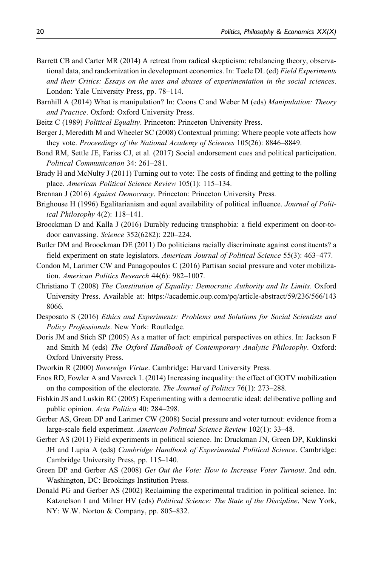- Barrett CB and Carter MR (2014) A retreat from radical skepticism: rebalancing theory, observational data, and randomization in development economics. In: Teele DL (ed) Field Experiments and their Critics: Essays on the uses and abuses of experimentation in the social sciences. London: Yale University Press, pp. 78–114.
- Barnhill A (2014) What is manipulation? In: Coons C and Weber M (eds) *Manipulation: Theory* and Practice. Oxford: Oxford University Press.
- Beitz C (1989) Political Equality. Princeton: Princeton University Press.
- Berger J, Meredith M and Wheeler SC (2008) Contextual priming: Where people vote affects how they vote. Proceedings of the National Academy of Sciences 105(26): 8846–8849.
- Bond RM, Settle JE, Fariss CJ, et al. (2017) Social endorsement cues and political participation. Political Communication 34: 261–281.
- Brady H and McNulty J (2011) Turning out to vote: The costs of finding and getting to the polling place. American Political Science Review 105(1): 115–134.
- Brennan J (2016) Against Democracy. Princeton: Princeton University Press.
- Brighouse H (1996) Egalitarianism and equal availability of political influence. Journal of Political Philosophy 4(2): 118–141.
- Broockman D and Kalla J (2016) Durably reducing transphobia: a field experiment on door-todoor canvassing. Science 352(6282): 220–224.
- Butler DM and Broockman DE (2011) Do politicians racially discriminate against constituents? a field experiment on state legislators. American Journal of Political Science 55(3): 463-477.
- Condon M, Larimer CW and Panagopoulos C (2016) Partisan social pressure and voter mobilization. American Politics Research 44(6): 982–1007.
- Christiano T (2008) The Constitution of Equality: Democratic Authority and Its Limits. Oxford University Press. Available at: [https://academic.oup.com/pq/article-abstract/59/236/566/143](https://academic.oup.com/pq/article-abstract/59/236/566/1438066) [8066](https://academic.oup.com/pq/article-abstract/59/236/566/1438066).
- Desposato S (2016) Ethics and Experiments: Problems and Solutions for Social Scientists and Policy Professionals. New York: Routledge.
- Doris JM and Stich SP (2005) As a matter of fact: empirical perspectives on ethics. In: Jackson F and Smith M (eds) The Oxford Handbook of Contemporary Analytic Philosophy. Oxford: Oxford University Press.
- Dworkin R (2000) Sovereign Virtue. Cambridge: Harvard University Press.
- Enos RD, Fowler A and Vavreck L (2014) Increasing inequality: the effect of GOTV mobilization on the composition of the electorate. The Journal of Politics 76(1): 273-288.
- Fishkin JS and Luskin RC (2005) Experimenting with a democratic ideal: deliberative polling and public opinion. Acta Politica 40: 284-298.
- Gerber AS, Green DP and Larimer CW (2008) Social pressure and voter turnout: evidence from a large-scale field experiment. American Political Science Review 102(1): 33-48.
- Gerber AS (2011) Field experiments in political science. In: Druckman JN, Green DP, Kuklinski JH and Lupia A (eds) Cambridge Handbook of Experimental Political Science. Cambridge: Cambridge University Press, pp. 115–140.
- Green DP and Gerber AS (2008) Get Out the Vote: How to Increase Voter Turnout. 2nd edn. Washington, DC: Brookings Institution Press.
- Donald PG and Gerber AS (2002) Reclaiming the experimental tradition in political science. In: Katznelson I and Milner HV (eds) Political Science: The State of the Discipline, New York, NY: W.W. Norton & Company, pp. 805–832.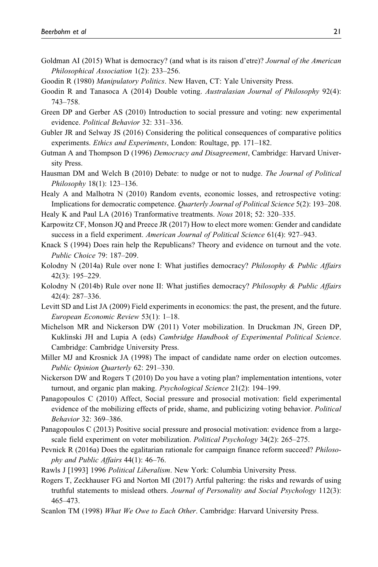- Goldman AI (2015) What is democracy? (and what is its raison d'etre)? Journal of the American Philosophical Association 1(2): 233–256.
- Goodin R (1980) Manipulatory Politics. New Haven, CT: Yale University Press.
- Goodin R and Tanasoca A (2014) Double voting. Australasian Journal of Philosophy 92(4): 743–758.
- Green DP and Gerber AS (2010) Introduction to social pressure and voting: new experimental evidence. Political Behavior 32: 331–336.
- Gubler JR and Selway JS (2016) Considering the political consequences of comparative politics experiments. *Ethics and Experiments*, London: Roultage, pp. 171–182.
- Gutman A and Thompson D (1996) Democracy and Disagreement, Cambridge: Harvard University Press.
- Hausman DM and Welch B (2010) Debate: to nudge or not to nudge. The Journal of Political Philosophy 18(1): 123–136.
- Healy A and Malhotra N (2010) Random events, economic losses, and retrospective voting: Implications for democratic competence. Quarterly Journal of Political Science 5(2): 193–208.
- Healy K and Paul LA (2016) Tranformative treatments. Nous 2018; 52: 320–335.
- Karpowitz CF, Monson JQ and Preece JR (2017) How to elect more women: Gender and candidate success in a field experiment. American Journal of Political Science 61(4): 927–943.
- Knack S (1994) Does rain help the Republicans? Theory and evidence on turnout and the vote. Public Choice 79: 187–209.
- Kolodny N (2014a) Rule over none I: What justifies democracy? Philosophy & Public Affairs 42(3): 195–229.
- Kolodny N (2014b) Rule over none II: What justifies democracy? Philosophy & Public Affairs 42(4): 287–336.
- Levitt SD and List JA (2009) Field experiments in economics: the past, the present, and the future. European Economic Review 53(1): 1–18.
- Michelson MR and Nickerson DW (2011) Voter mobilization. In Druckman JN, Green DP, Kuklinski JH and Lupia A (eds) Cambridge Handbook of Experimental Political Science. Cambridge: Cambridge University Press.
- Miller MJ and Krosnick JA (1998) The impact of candidate name order on election outcomes. Public Opinion Quarterly 62: 291–330.
- Nickerson DW and Rogers T (2010) Do you have a voting plan? implementation intentions, voter turnout, and organic plan making. Psychological Science 21(2): 194-199.
- Panagopoulos C (2010) Affect, Social pressure and prosocial motivation: field experimental evidence of the mobilizing effects of pride, shame, and publicizing voting behavior. Political Behavior 32: 369–386.
- Panagopoulos C (2013) Positive social pressure and prosocial motivation: evidence from a largescale field experiment on voter mobilization. *Political Psychology* 34(2): 265–275.
- Pevnick R (2016a) Does the egalitarian rationale for campaign finance reform succeed? Philosophy and Public Affairs 44(1): 46–76.
- Rawls J [1993] 1996 Political Liberalism. New York: Columbia University Press.
- Rogers T, Zeckhauser FG and Norton MI (2017) Artful paltering: the risks and rewards of using truthful statements to mislead others. Journal of Personality and Social Psychology 112(3): 465–473.
- Scanlon TM (1998) What We Owe to Each Other. Cambridge: Harvard University Press.